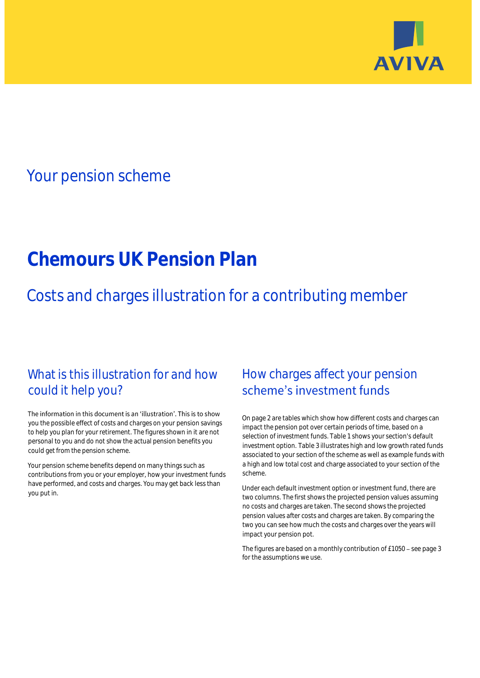

## Your pension scheme

# **Chemours UK Pension Plan**

Costs and charges illustration for a contributing member

### What is this illustration for and how could it help you?

#### The information in this document is an 'illustration'. This is to show you the possible effect of costs and charges on your pension savings to help you plan for your retirement. The figures shown in it are not personal to you and do not show the actual pension benefits you could get from the pension scheme.

Your pension scheme benefits depend on many things such as contributions from you or your employer, how your investment funds have performed, and costs and charges. You may get back less than you put in.

### How charges affect your pension scheme's investment funds

On page 2 are tables which show how different costs and charges can impact the pension pot over certain periods of time, based on a selection of investment funds. Table 1 shows your section's default investment option. Table 3 illustrates high and low growth rated funds associated to your section of the scheme as well as example funds with a high and low total cost and charge associated to your section of the scheme.

Under each default investment option or investment fund, there are two columns. The first shows the projected pension values assuming no costs and charges are taken. The second shows the projected pension values after costs and charges are taken. By comparing the two you can see how much the costs and charges over the years will impact your pension pot.

The figures are based on a monthly contribution of £1050 - see page 3 for the assumptions we use.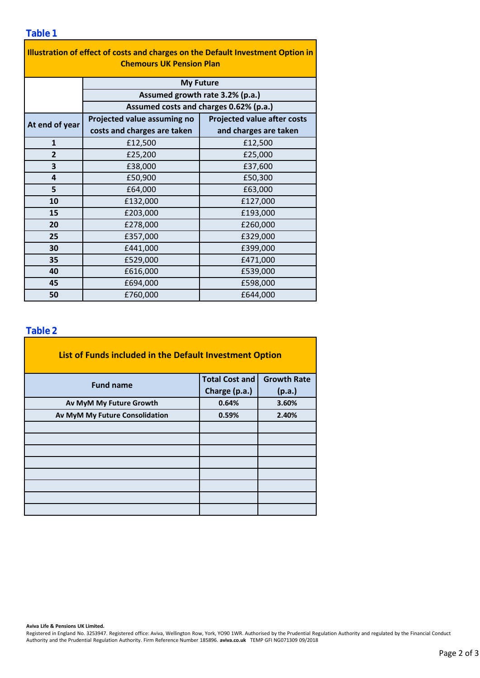| Illustration of effect of costs and charges on the Default Investment Option in<br><b>Chemours UK Pension Plan</b> |                                        |                                    |  |  |  |  |  |
|--------------------------------------------------------------------------------------------------------------------|----------------------------------------|------------------------------------|--|--|--|--|--|
|                                                                                                                    | <b>My Future</b>                       |                                    |  |  |  |  |  |
| Assumed growth rate 3.2% (p.a.)                                                                                    |                                        |                                    |  |  |  |  |  |
|                                                                                                                    | Assumed costs and charges 0.62% (p.a.) |                                    |  |  |  |  |  |
| At end of year                                                                                                     | Projected value assuming no            | <b>Projected value after costs</b> |  |  |  |  |  |
|                                                                                                                    | costs and charges are taken            | and charges are taken              |  |  |  |  |  |
| $\mathbf{1}$                                                                                                       | £12,500                                | £12,500                            |  |  |  |  |  |
| $\overline{2}$                                                                                                     | £25,200                                | £25,000                            |  |  |  |  |  |
| 3                                                                                                                  | £38,000                                | £37,600                            |  |  |  |  |  |
| 4                                                                                                                  | £50,900                                | £50,300                            |  |  |  |  |  |
| 5                                                                                                                  | £64,000                                | £63,000                            |  |  |  |  |  |
| 10                                                                                                                 | £132,000                               | £127,000                           |  |  |  |  |  |
| 15                                                                                                                 | £203,000                               | £193,000                           |  |  |  |  |  |
| 20                                                                                                                 | £278,000                               | £260,000                           |  |  |  |  |  |
| 25                                                                                                                 | £357,000                               | £329,000                           |  |  |  |  |  |
| 30                                                                                                                 | £441,000                               | £399,000                           |  |  |  |  |  |
| 35                                                                                                                 | £529,000                               | £471,000                           |  |  |  |  |  |
| 40                                                                                                                 | £616,000                               | £539,000                           |  |  |  |  |  |
| 45                                                                                                                 | £694,000                               | £598,000                           |  |  |  |  |  |
| 50                                                                                                                 | £760,000                               | £644,000                           |  |  |  |  |  |

### **Table 2**

| List of Funds included in the Default Investment Option |                       |                    |
|---------------------------------------------------------|-----------------------|--------------------|
| <b>Fund name</b>                                        | <b>Total Cost and</b> | <b>Growth Rate</b> |
|                                                         | Charge (p.a.)         | (p.a.)             |
| Av MyM My Future Growth                                 | 0.64%                 | 3.60%              |
| Av MyM My Future Consolidation                          | 0.59%                 | 2.40%              |
|                                                         |                       |                    |
|                                                         |                       |                    |
|                                                         |                       |                    |
|                                                         |                       |                    |
|                                                         |                       |                    |
|                                                         |                       |                    |
|                                                         |                       |                    |
|                                                         |                       |                    |

#### **Aviva Life & Pensions UK Limited.**

Registered in England No. 3253947. Registered office: Aviva, Wellington Row, York, YO90 1WR. Authorised by the Prudential Regulation Authority and regulated by the Financial Conduct Authority and the Prudential Regulation Authority. Firm Reference Number 185896. **aviva.co.uk** TEMP GFI NG071309 09/2018